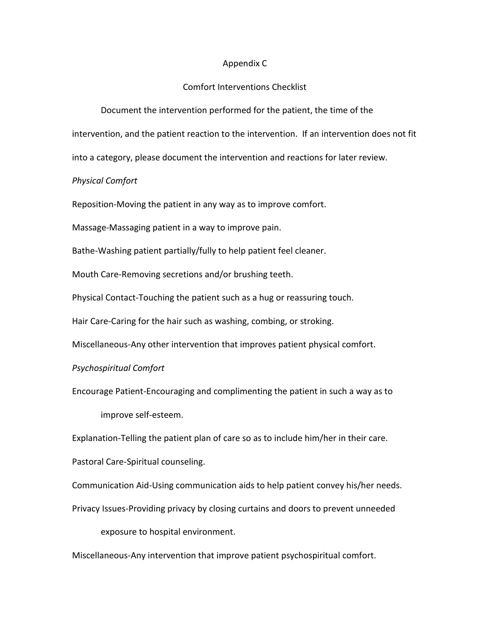## Appendix C

## Comfort Interventions Checklist

Document the intervention performed for the patient, the time of the

intervention, and the patient reaction to the intervention. If an intervention does not fit

into a category, please document the intervention and reactions for later review.

## *Physical Comfort*

Reposition-Moving the patient in any way as to improve comfort.

Massage-Massaging patient in a way to improve pain.

Bathe-Washing patient partially/fully to help patient feel cleaner.

Mouth Care-Removing secretions and/or brushing teeth.

Physical Contact-Touching the patient such as a hug or reassuring touch.

Hair Care-Caring for the hair such as washing, combing, or stroking.

Miscellaneous-Any other intervention that improves patient physical comfort.

*Psychospiritual Comfort*

Encourage Patient-Encouraging and complimenting the patient in such a way as to improve self-esteem.

Explanation-Telling the patient plan of care so as to include him/her in their care.

Pastoral Care-Spiritual counseling.

Communication Aid-Using communication aids to help patient convey his/her needs.

Privacy Issues-Providing privacy by closing curtains and doors to prevent unneeded

exposure to hospital environment.

Miscellaneous-Any intervention that improve patient psychospiritual comfort.